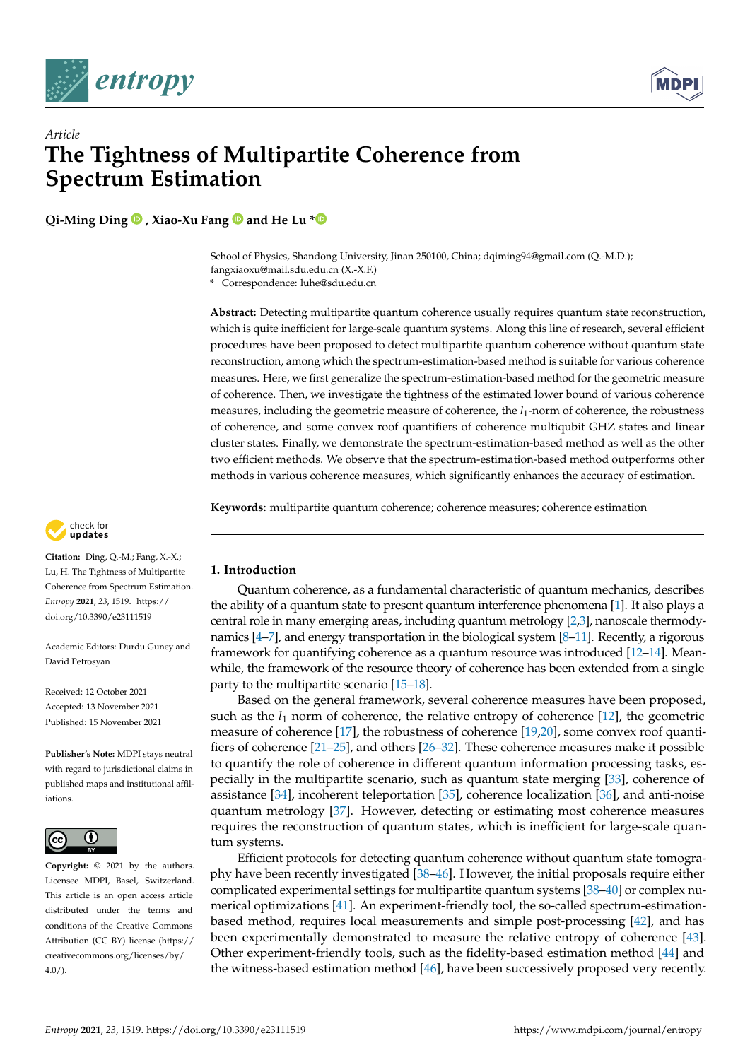



# *Article* **The Tightness of Multipartite Coherence from Spectrum Estimation**

**Qi-Ming Ding , Xiao-Xu Fang and He Lu [\\*](https://orcid.org/0000-0001-6501-5447)**

School of Physics, Shandong University, Jinan 250100, China; dqiming94@gmail.com (Q.-M.D.); fangxiaoxu@mail.sdu.edu.cn (X.-X.F.)

**\*** Correspondence: luhe@sdu.edu.cn

**Abstract:** Detecting multipartite quantum coherence usually requires quantum state reconstruction, which is quite inefficient for large-scale quantum systems. Along this line of research, several efficient procedures have been proposed to detect multipartite quantum coherence without quantum state reconstruction, among which the spectrum-estimation-based method is suitable for various coherence measures. Here, we first generalize the spectrum-estimation-based method for the geometric measure of coherence. Then, we investigate the tightness of the estimated lower bound of various coherence measures, including the geometric measure of coherence, the  $l_1$ -norm of coherence, the robustness of coherence, and some convex roof quantifiers of coherence multiqubit GHZ states and linear cluster states. Finally, we demonstrate the spectrum-estimation-based method as well as the other two efficient methods. We observe that the spectrum-estimation-based method outperforms other methods in various coherence measures, which significantly enhances the accuracy of estimation.

**Keywords:** multipartite quantum coherence; coherence measures; coherence estimation



**Citation:** Ding, Q.-M.; Fang, X.-X.; Lu, H. The Tightness of Multipartite Coherence from Spectrum Estimation. *Entropy* **2021**, *23*, 1519. [https://](https://doi.org/10.3390/e23111519) [doi.org/10.3390/e23111519](https://doi.org/10.3390/e23111519)

Academic Editors: Durdu Guney and David Petrosyan

Received: 12 October 2021 Accepted: 13 November 2021 Published: 15 November 2021

**Publisher's Note:** MDPI stays neutral with regard to jurisdictional claims in published maps and institutional affiliations.



**Copyright:** © 2021 by the authors. Licensee MDPI, Basel, Switzerland. This article is an open access article distributed under the terms and conditions of the Creative Commons Attribution (CC BY) license (https:/[/](https://creativecommons.org/licenses/by/4.0/) [creativecommons.org/licenses/by/](https://creativecommons.org/licenses/by/4.0/)  $4.0/$ ).

# **1. Introduction**

Quantum coherence, as a fundamental characteristic of quantum mechanics, describes the ability of a quantum state to present quantum interference phenomena [\[1\]](#page-9-0). It also plays a central role in many emerging areas, including quantum metrology [\[2](#page-9-1)[,3\]](#page-9-2), nanoscale thermodynamics [\[4](#page-9-3)[–7\]](#page-9-4), and energy transportation in the biological system [\[8–](#page-9-5)[11\]](#page-9-6). Recently, a rigorous framework for quantifying coherence as a quantum resource was introduced [\[12](#page-9-7)[–14\]](#page-9-8). Meanwhile, the framework of the resource theory of coherence has been extended from a single party to the multipartite scenario [\[15](#page-9-9)[–18\]](#page-9-10).

Based on the general framework, several coherence measures have been proposed, such as the  $l_1$  norm of coherence, the relative entropy of coherence [\[12\]](#page-9-7), the geometric measure of coherence [\[17\]](#page-9-11), the robustness of coherence [\[19,](#page-9-12)[20\]](#page-9-13), some convex roof quantifiers of coherence [\[21–](#page-9-14)[25\]](#page-9-15), and others [\[26–](#page-9-16)[32\]](#page-9-17). These coherence measures make it possible to quantify the role of coherence in different quantum information processing tasks, especially in the multipartite scenario, such as quantum state merging [\[33\]](#page-9-18), coherence of assistance [\[34\]](#page-10-0), incoherent teleportation [\[35\]](#page-10-1), coherence localization [\[36\]](#page-10-2), and anti-noise quantum metrology [\[37\]](#page-10-3). However, detecting or estimating most coherence measures requires the reconstruction of quantum states, which is inefficient for large-scale quantum systems.

Efficient protocols for detecting quantum coherence without quantum state tomography have been recently investigated [\[38](#page-10-4)[–46\]](#page-10-5). However, the initial proposals require either complicated experimental settings for multipartite quantum systems [\[38–](#page-10-4)[40\]](#page-10-6) or complex numerical optimizations [\[41\]](#page-10-7). An experiment-friendly tool, the so-called spectrum-estimationbased method, requires local measurements and simple post-processing [\[42\]](#page-10-8), and has been experimentally demonstrated to measure the relative entropy of coherence [\[43\]](#page-10-9). Other experiment-friendly tools, such as the fidelity-based estimation method [\[44\]](#page-10-10) and the witness-based estimation method [\[46\]](#page-10-5), have been successively proposed very recently.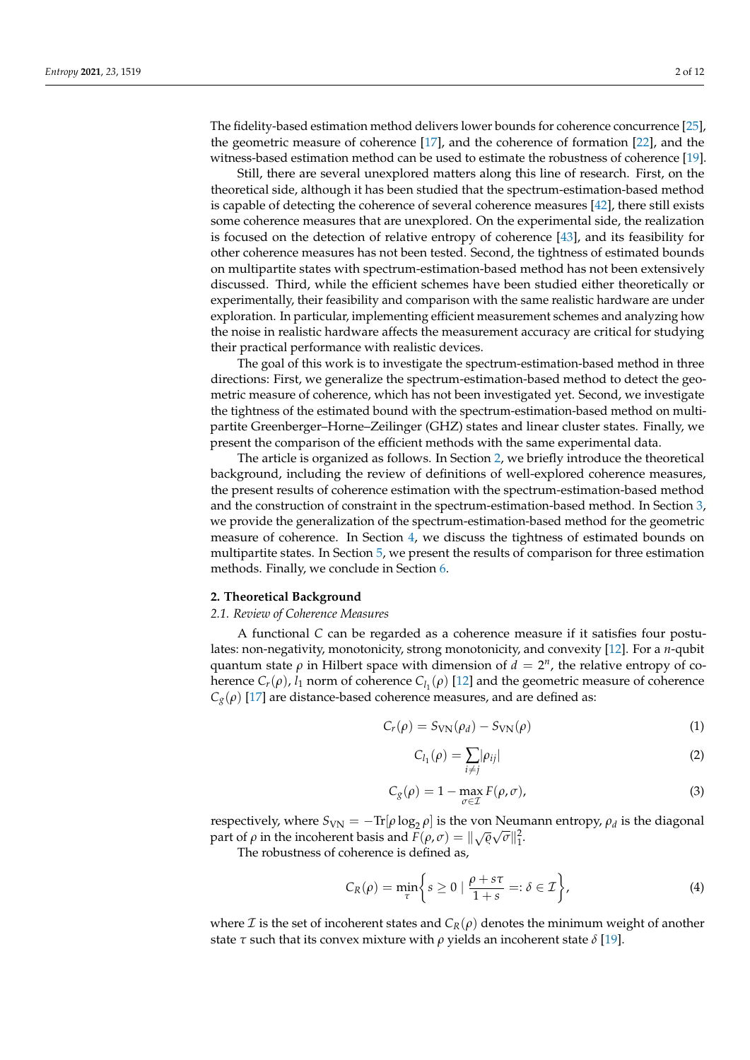The fidelity-based estimation method delivers lower bounds for coherence concurrence [\[25\]](#page-9-15), the geometric measure of coherence [\[17\]](#page-9-11), and the coherence of formation [\[22\]](#page-9-19), and the witness-based estimation method can be used to estimate the robustness of coherence [\[19\]](#page-9-12).

Still, there are several unexplored matters along this line of research. First, on the theoretical side, although it has been studied that the spectrum-estimation-based method is capable of detecting the coherence of several coherence measures [\[42\]](#page-10-8), there still exists some coherence measures that are unexplored. On the experimental side, the realization is focused on the detection of relative entropy of coherence [\[43\]](#page-10-9), and its feasibility for other coherence measures has not been tested. Second, the tightness of estimated bounds on multipartite states with spectrum-estimation-based method has not been extensively discussed. Third, while the efficient schemes have been studied either theoretically or experimentally, their feasibility and comparison with the same realistic hardware are under exploration. In particular, implementing efficient measurement schemes and analyzing how the noise in realistic hardware affects the measurement accuracy are critical for studying their practical performance with realistic devices.

The goal of this work is to investigate the spectrum-estimation-based method in three directions: First, we generalize the spectrum-estimation-based method to detect the geometric measure of coherence, which has not been investigated yet. Second, we investigate the tightness of the estimated bound with the spectrum-estimation-based method on multipartite Greenberger–Horne–Zeilinger (GHZ) states and linear cluster states. Finally, we present the comparison of the efficient methods with the same experimental data.

The article is organized as follows. In Section [2,](#page-1-0) we briefly introduce the theoretical background, including the review of definitions of well-explored coherence measures, the present results of coherence estimation with the spectrum-estimation-based method and the construction of constraint in the spectrum-estimation-based method. In Section [3,](#page-3-0) we provide the generalization of the spectrum-estimation-based method for the geometric measure of coherence. In Section [4,](#page-4-0) we discuss the tightness of estimated bounds on multipartite states. In Section [5,](#page-7-0) we present the results of comparison for three estimation methods. Finally, we conclude in Section [6.](#page-8-0)

# <span id="page-1-0"></span>**2. Theoretical Background**

### *2.1. Review of Coherence Measures*

A functional *C* can be regarded as a coherence measure if it satisfies four postulates: non-negativity, monotonicity, strong monotonicity, and convexity [\[12\]](#page-9-7). For a *n*-qubit quantum state  $\rho$  in Hilbert space with dimension of  $d = 2^n$ , the relative entropy of coherence  $C_r(\rho)$ ,  $l_1$  norm of coherence  $C_{l_1}(\rho)$  [\[12\]](#page-9-7) and the geometric measure of coherence  $C_g(\rho)$  [\[17\]](#page-9-11) are distance-based coherence measures, and are defined as:

<span id="page-1-1"></span>
$$
C_r(\rho) = S_{\text{VN}}(\rho_d) - S_{\text{VN}}(\rho) \tag{1}
$$

<span id="page-1-2"></span>
$$
C_{l_1}(\rho) = \sum_{i \neq j} |\rho_{ij}| \tag{2}
$$

$$
C_g(\rho) = 1 - \max_{\sigma \in \mathcal{I}} F(\rho, \sigma), \tag{3}
$$

respectively, where  $S_{\text{VN}} = -\text{Tr}[\rho \log_2 \rho]$  is the von Neumann entropy,  $\rho_d$  is the diagonal part of  $\rho$  in the incoherent basis and  $F(\rho, \sigma) = ||\sqrt{\varrho}\sqrt{\sigma}||_1^2$ .

The robustness of coherence is defined as,

$$
C_R(\rho) = \min_{\tau} \left\{ s \ge 0 \mid \frac{\rho + s\tau}{1 + s} =: \delta \in \mathcal{I} \right\},\tag{4}
$$

where *I* is the set of incoherent states and  $C_R(\rho)$  denotes the minimum weight of another state *τ* such that its convex mixture with *ρ* yields an incoherent state *δ* [\[19\]](#page-9-12).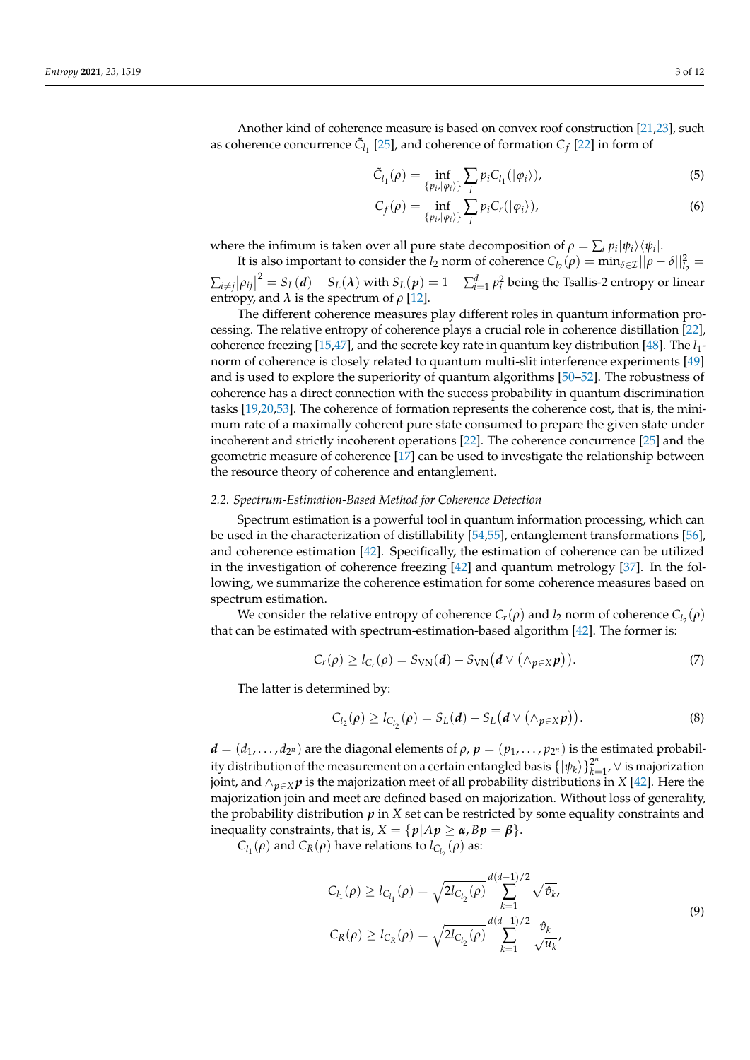Another kind of coherence measure is based on convex roof construction [\[21,](#page-9-14)[23\]](#page-9-20), such as coherence concurrence  $\tilde{C}_{l_1}$  [\[25\]](#page-9-15), and coherence of formation  $C_f$  [\[22\]](#page-9-19) in form of

$$
\tilde{C}_{l_1}(\rho) = \inf_{\{p_i, |\varphi_i\rangle\}} \sum_i p_i C_{l_1}(|\varphi_i\rangle),\tag{5}
$$

$$
C_f(\rho) = \inf_{\{p_i, |\varphi_i\rangle\}} \sum_i p_i C_r(|\varphi_i\rangle), \tag{6}
$$

where the infimum is taken over all pure state decomposition of  $\rho = \sum_i p_i |\psi_i\rangle\langle\psi_i|$ .

It is also important to consider the *l*<sub>2</sub> norm of coherence  $C_{l_2}(\rho) = \min_{\delta \in \mathcal{I}} ||\rho - \delta||_{l_2}^2 =$  $\sum_{i \neq j} |\rho_{ij}|^2 = S_L(d) - S_L(\lambda)$  with  $S_L(p) = 1 - \sum_{i=1}^d p_i^2$  being the Tsallis-2 entropy or linear entropy, and  $\lambda$  is the spectrum of  $\rho$  [\[12\]](#page-9-7).

The different coherence measures play different roles in quantum information processing. The relative entropy of coherence plays a crucial role in coherence distillation [\[22\]](#page-9-19), coherence freezing [\[15,](#page-9-9)[47\]](#page-10-11), and the secrete key rate in quantum key distribution [\[48\]](#page-10-12). The *l*<sub>1</sub>norm of coherence is closely related to quantum multi-slit interference experiments [\[49\]](#page-10-13) and is used to explore the superiority of quantum algorithms [\[50](#page-10-14)[–52\]](#page-10-15). The robustness of coherence has a direct connection with the success probability in quantum discrimination tasks [\[19](#page-9-12)[,20,](#page-9-13)[53\]](#page-10-16). The coherence of formation represents the coherence cost, that is, the minimum rate of a maximally coherent pure state consumed to prepare the given state under incoherent and strictly incoherent operations [\[22\]](#page-9-19). The coherence concurrence [\[25\]](#page-9-15) and the geometric measure of coherence [\[17\]](#page-9-11) can be used to investigate the relationship between the resource theory of coherence and entanglement.

### *2.2. Spectrum-Estimation-Based Method for Coherence Detection*

Spectrum estimation is a powerful tool in quantum information processing, which can be used in the characterization of distillability [\[54](#page-10-17)[,55\]](#page-10-18), entanglement transformations [\[56\]](#page-10-19), and coherence estimation [\[42\]](#page-10-8). Specifically, the estimation of coherence can be utilized in the investigation of coherence freezing [\[42\]](#page-10-8) and quantum metrology [\[37\]](#page-10-3). In the following, we summarize the coherence estimation for some coherence measures based on spectrum estimation.

We consider the relative entropy of coherence  $C_r(\rho)$  and  $l_2$  norm of coherence  $C_{l_2}(\rho)$ that can be estimated with spectrum-estimation-based algorithm [\[42\]](#page-10-8). The former is:

$$
C_r(\rho) \geq l_{C_r}(\rho) = S_{\text{VN}}(d) - S_{\text{VN}}(d \vee (\wedge_{p \in X} p)). \tag{7}
$$

The latter is determined by:

$$
C_{l_2}(\rho) \ge l_{C_{l_2}}(\rho) = S_L(d) - S_L(d \vee (\wedge_{p \in X} p)).
$$
\n(8)

 $d = (d_1, \ldots, d_{2^n})$  are the diagonal elements of  $\rho$ ,  $p = (p_1, \ldots, p_{2^n})$  is the estimated probability distribution of the measurement on a certain entangled basis  $\{|\psi_k\rangle\}_{k=1}^{2^n}$  $\sum_{k=1}^{2^n}$ , ∨ is majorization joint, and ∧*p*∈*<sup>X</sup> p* is the majorization meet of all probability distributions in *X* [\[42\]](#page-10-8). Here the majorization join and meet are defined based on majorization. Without loss of generality, the probability distribution *p* in *X* set can be restricted by some equality constraints and inequality constraints, that is,  $X = \{p | Ap \ge \alpha, Bp = \beta\}.$ 

 $C_{l_1}(\rho)$  and  $C_R(\rho)$  have relations to  $l_{C_{l_2}}(\rho)$  as:

$$
C_{l_1}(\rho) \ge l_{C_{l_1}}(\rho) = \sqrt{2l_{C_{l_2}}(\rho)} \sum_{k=1}^{d(d-1)/2} \sqrt{\hat{\sigma}_k},
$$
  
\n
$$
C_R(\rho) \ge l_{C_R}(\rho) = \sqrt{2l_{C_{l_2}}(\rho)} \sum_{k=1}^{d(d-1)/2} \frac{\hat{\sigma}_k}{\sqrt{u_k}},
$$
\n(9)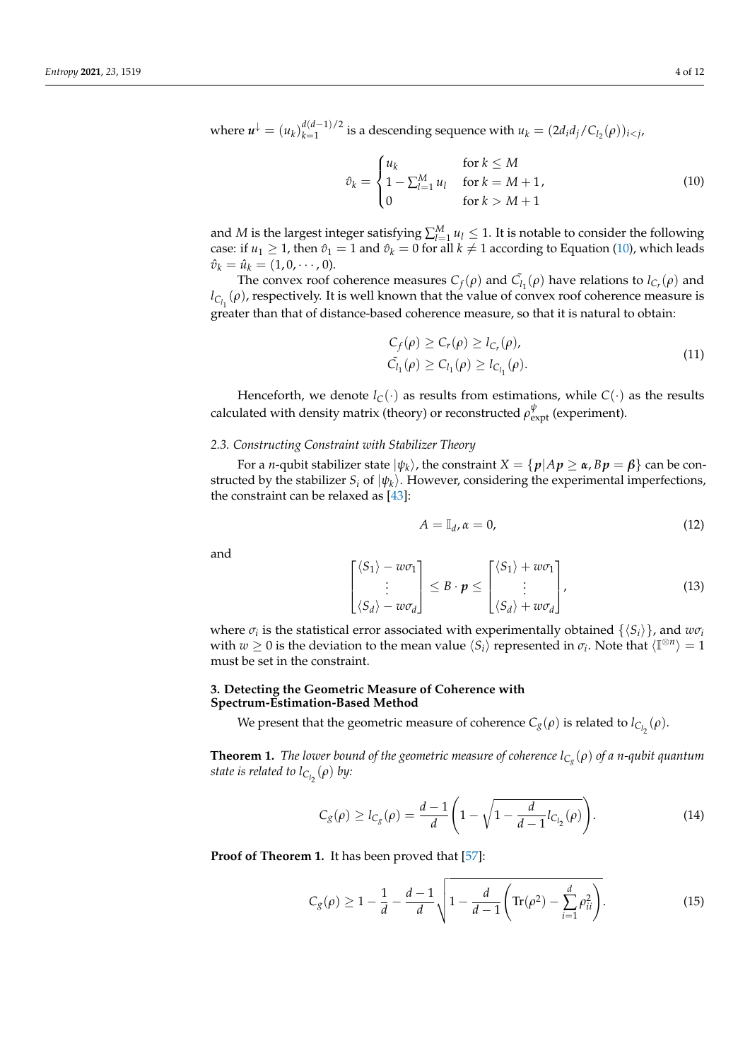where  $u^{\downarrow} = (u_k)_{k=1}^{d(d-1)/2}$  $\mu_k$ <sup>(*u*-1)/2</sup> is a descending sequence with  $u_k = (2d_i d_j/C_{l_2}(\rho))_{i < j}$ ,

<span id="page-3-1"></span>
$$
\hat{v}_k = \begin{cases} u_k & \text{for } k \le M \\ 1 - \sum_{l=1}^M u_l & \text{for } k = M+1, \\ 0 & \text{for } k > M+1 \end{cases} \tag{10}
$$

and *M* is the largest integer satisfying  $\sum_{l=1}^{M} u_l \leq 1$ . It is notable to consider the following case: if  $u_1 \geq 1$ , then  $\hat{v}_1 = 1$  and  $\hat{v}_k = 0$  for all  $k \neq 1$  according to Equation [\(10\)](#page-3-1), which leads  $\hat{v}_k = \hat{u}_k = (1, 0, \dots, 0).$ 

The convex roof coherence measures  $C_f(\rho)$  and  $\tilde{C}_{l_1}(\rho)$  have relations to  $l_{C_r}(\rho)$  and  $l_{C_{l_1}}(\rho)$ , respectively. It is well known that the value of convex roof coherence measure is greater than that of distance-based coherence measure, so that it is natural to obtain:

<span id="page-3-3"></span>
$$
C_f(\rho) \ge C_r(\rho) \ge l_{C_r}(\rho),
$$
  
\n
$$
\tilde{C}_{l_1}(\rho) \ge C_{l_1}(\rho) \ge l_{C_{l_1}}(\rho).
$$
\n(11)

Henceforth, we denote  $l_C(\cdot)$  as results from estimations, while  $C(\cdot)$  as the results calculated with density matrix (theory) or reconstructed  $\rho^\psi_{\text{expt}}$  (experiment).

# *2.3. Constructing Constraint with Stabilizer Theory*

For a *n*-qubit stabilizer state  $|\psi_k\rangle$ , the constraint  $X=\{\bm{p}|A\bm{p}\geq \bm{\alpha}$ ,  $B\bm{p}=\bm{\beta}\}$  can be constructed by the stabilizer  $S_i$  of  $|\psi_k\rangle$ . However, considering the experimental imperfections, the constraint can be relaxed as [\[43\]](#page-10-9):

$$
A = \mathbb{I}_{d}, \alpha = 0, \tag{12}
$$

and

$$
\begin{bmatrix} \langle S_1 \rangle - w \sigma_1 \\ \vdots \\ \langle S_d \rangle - w \sigma_d \end{bmatrix} \leq B \cdot p \leq \begin{bmatrix} \langle S_1 \rangle + w \sigma_1 \\ \vdots \\ \langle S_d \rangle + w \sigma_d \end{bmatrix},
$$
(13)

where  $\sigma_i$  is the statistical error associated with experimentally obtained  $\{\langle S_i \rangle\}$ , and  $w\sigma_i$ with  $w \ge 0$  is the deviation to the mean value  $\langle S_i \rangle$  represented in  $\sigma_i$ . Note that  $\langle \mathbb{I}^{\otimes n} \rangle = 1$ must be set in the constraint.

# <span id="page-3-0"></span>**3. Detecting the Geometric Measure of Coherence with Spectrum-Estimation-Based Method**

We present that the geometric measure of coherence  $C_g(\rho)$  is related to  $l_{C_{l_2}}(\rho)$ .

**Theorem 1.** *The lower bound of the geometric measure of coherence lC<sup>g</sup>* (*ρ*) *of a n-qubit quantum state is related to l* $_{C_{l_2}}(\rho)$  *by:* 

<span id="page-3-4"></span>
$$
C_g(\rho) \ge l_{C_g}(\rho) = \frac{d-1}{d} \left( 1 - \sqrt{1 - \frac{d}{d-1} l_{C_{l_2}}(\rho)} \right).
$$
 (14)

Proof of Theorem 1. It has been proved that [\[57\]](#page-10-20):

<span id="page-3-2"></span>
$$
C_g(\rho) \ge 1 - \frac{1}{d} - \frac{d-1}{d} \sqrt{1 - \frac{d}{d-1} \left( \text{Tr}(\rho^2) - \sum_{i=1}^d \rho_{ii}^2 \right)}.
$$
 (15)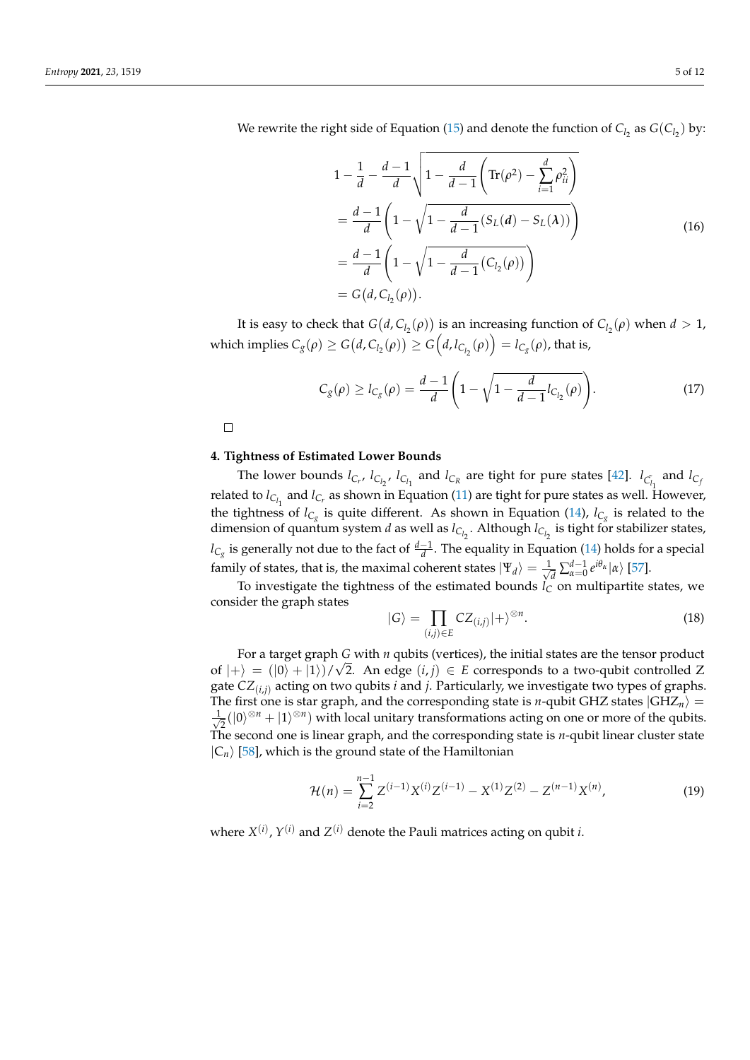$$
1 - \frac{1}{d} - \frac{d-1}{d} \sqrt{1 - \frac{d}{d-1} \left( \text{Tr}(\rho^2) - \sum_{i=1}^d \rho_{ii}^2 \right)}
$$
  
= 
$$
\frac{d-1}{d} \left( 1 - \sqrt{1 - \frac{d}{d-1} (S_L(d) - S_L(\lambda))} \right)
$$
  
= 
$$
\frac{d-1}{d} \left( 1 - \sqrt{1 - \frac{d}{d-1} (C_{l_2}(\rho))} \right)
$$
  
= 
$$
G(d, C_{l_2}(\rho)).
$$
 (16)

It is easy to check that  $G(d, C_{l_2}(\rho))$  is an increasing function of  $C_{l_2}(\rho)$  when  $d > 1$ ,  $\text{which implies } C_{g}(\rho) \ge G\big(d, C_{l_2}(\rho)\big) \ge G\Big(d, l_{C_{l_2}}(\rho)\Big) = l_{C_{g}}(\rho) \text{, that is,}$ 

$$
C_g(\rho) \ge l_{C_g}(\rho) = \frac{d-1}{d} \left( 1 - \sqrt{1 - \frac{d}{d-1} l_{C_{l_2}}(\rho)} \right).
$$
 (17)

 $\Box$ 

## <span id="page-4-0"></span>**4. Tightness of Estimated Lower Bounds**

The lower bounds  $l_{C_r}$ ,  $l_{C_{l_2}}$ ,  $l_{C_{l_1}}$  and  $l_{C_R}$  are tight for pure states [\[42\]](#page-10-8).  $l_{C_{l_1}}$  and  $l_{C_j}$ related to  $l_{C_{l_1}}$  and  $l_{C_r}$  as shown in Equation [\(11\)](#page-3-3) are tight for pure states as well. However, the tightness of  $l_{C_g}$  is quite different. As shown in Equation [\(14\)](#page-3-4),  $l_{C_g}$  is related to the dimension of quantum system *<sup>d</sup>* as well as *<sup>l</sup>Cl*<sup>2</sup> . Although *<sup>l</sup>Cl*<sup>2</sup> is tight for stabilizer states, *l*<sub>C<sub>*g*</sub></sub> is generally not due to the fact of  $\frac{d-1}{d}$ . The equality in Equation [\(14\)](#page-3-4) holds for a special family of states, that is, the maximal coherent states  $|\Psi_d\rangle = \frac{1}{\sqrt{2\pi}}$  $\frac{d}{d} \sum_{\alpha=0}^{d-1} e^{i\theta_{\alpha}} |\alpha\rangle$  [\[57\]](#page-10-20).

To investigate the tightness of the estimated bounds  $\hat{l}_C^u$  on multipartite states, we consider the graph states

$$
|G\rangle = \prod_{(i,j)\in E} CZ_{(i,j)}|+\rangle^{\otimes n}.
$$
 (18)

For a target graph *G* with *n* qubits (vertices), the initial states are the tensor product  $\frac{1}{2}$ of  $|+\rangle = (|0\rangle + |1\rangle)/\sqrt{2}$ . An edge  $(i, j) \in E$  corresponds to a two-qubit controlled Z gate *CZ*(*i*,*j*) acting on two qubits *i* and *j*. Particularly, we investigate two types of graphs. The first one is star graph, and the corresponding state is *n*-qubit GHZ states  $|GHZ_n\rangle$  =  $\frac{1}{2}$  $\frac{1}{2}(|0\rangle^{\otimes n} + |1\rangle^{\otimes n})$  with local unitary transformations acting on one or more of the qubits. The second one is linear graph, and the corresponding state is *n*-qubit linear cluster state  $|C_n\rangle$  [\[58\]](#page-10-21), which is the ground state of the Hamiltonian

$$
\mathcal{H}(n) = \sum_{i=2}^{n-1} Z^{(i-1)} X^{(i)} Z^{(i-1)} - X^{(1)} Z^{(2)} - Z^{(n-1)} X^{(n)},\tag{19}
$$

where  $X^{(i)}$ ,  $Y^{(i)}$  and  $Z^{(i)}$  denote the Pauli matrices acting on qubit *i*.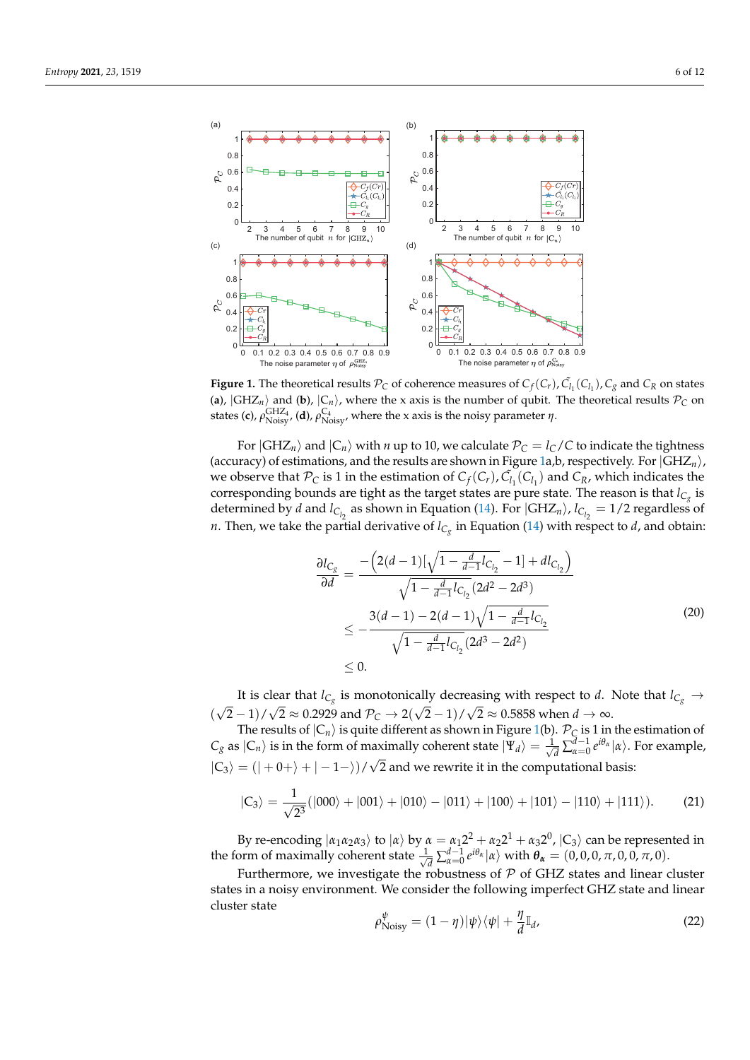<span id="page-5-0"></span>

**Figure 1.** The theoretical results  $\mathcal{P}_C$  of coherence measures of  $C_f(C_r)$ ,  $\tilde{C}_{l_1}(C_{l_1})$ ,  $C_g$  and  $C_R$  on states (a),  $|GHZ_n\rangle$  and (b),  $|C_n\rangle$ , where the x axis is the number of qubit. The theoretical results  $P_C$  on states (**c**),  $\rho_{\text{Noisy}}^{\text{GHZ}_4}$  (**d**),  $\rho_{\text{Noisy}}^{\text{C}_4}$ , where the x axis is the noisy parameter *η*.

For  $|GHZ_n\rangle$  and  $|C_n\rangle$  with *n* up to 10, we calculate  $P_C = l_C/C$  to indicate the tightness (accuracy) of estimations, and the results are shown in Figure [1a](#page-5-0),b, respectively. For  $|GHZ_n\rangle$ , we observe that  $\mathcal{P}_C$  is 1 in the estimation of  $C_f(C_r)$ ,  $\tilde{C}_{l_1}(C_{l_1})$  and  $C_R$ , which indicates the corresponding bounds are tight as the target states are pure state. The reason is that  $l_{\mathsf{C}_g}$  is determined by *d* and  $l_{C_{l_2}}$  as shown in Equation [\(14\)](#page-3-4). For  $|GHZ_n\rangle$ ,  $l_{C_{l_2}} = 1/2$  regardless of *n*. Then, we take the partial derivative of  $l_{C_g}$  in Equation [\(14\)](#page-3-4) with respect to *d*, and obtain:

$$
\frac{\partial l_{C_g}}{\partial d} = \frac{-\left(2(d-1)\left[\sqrt{1 - \frac{d}{d-1}l_{C_{l_2}}}-1\right] + dl_{C_{l_2}}\right)}{\sqrt{1 - \frac{d}{d-1}l_{C_{l_2}}}(2d^2 - 2d^3)}
$$
\n
$$
\leq -\frac{3(d-1) - 2(d-1)\sqrt{1 - \frac{d}{d-1}l_{C_{l_2}}}}{\sqrt{1 - \frac{d}{d-1}l_{C_{l_2}}}(2d^3 - 2d^2)}
$$
\n
$$
\leq 0.
$$
\n(20)

It is clear that  $l_{C_g}$  is monotonically decreasing with respect to *d*. Note that  $l_{C_g} \rightarrow$ ( √  $(2-1)/\sqrt{2} \approx 0.2929$  and  $\mathcal{P}_\mathcal{C} \to 2(\sqrt{2}-1)/\sqrt{2} \approx 0.5858$  when  $d \to \infty$ .

The results of  $|C_n\rangle$  is quite different as shown in Figure [1\(](#page-5-0)b).  $\mathcal{P}_C$  is 1 in the estimation of  $C_g$  as  $|C_n\rangle$  is in the form of maximally coherent state  $|\Psi_d\rangle = \frac{1}{\sqrt{2}}$  $\frac{1}{\sqrt{d}}\sum_{\alpha=0}^{d-1} e^{i\theta_{\alpha}} |\alpha\rangle$ . For example,  $|C_3\rangle = (|-0+\rangle + |-1-\rangle)/\sqrt{2}$  and we rewrite it in the computational basis:

$$
|C_3\rangle = \frac{1}{\sqrt{2^3}}(|000\rangle + |001\rangle + |010\rangle - |011\rangle + |100\rangle + |101\rangle - |110\rangle + |111\rangle). \tag{21}
$$

By re-encoding  $|a_1a_2a_3\rangle$  to  $|a\rangle$  by  $\alpha = a_12^2 + a_22^1 + a_32^0$ ,  $|C_3\rangle$  can be represented in the form of maximally coherent state  $\frac{1}{\sqrt{2}}$ *d*<sub>*d*</sub>  $\frac{1}{d} \sum_{\alpha=0}^{d-1} e^{i\theta_{\alpha}} |\alpha\rangle$  with  $\theta_{\alpha} = (0, 0, 0, \pi, 0, 0, \pi, 0).$ 

Furthermore, we investigate the robustness of  $P$  of GHZ states and linear cluster states in a noisy environment. We consider the following imperfect GHZ state and linear cluster state

$$
\rho_{\text{Noisy}}^{\psi} = (1 - \eta)|\psi\rangle\langle\psi| + \frac{\eta}{d}\mathbb{I}_{d},\tag{22}
$$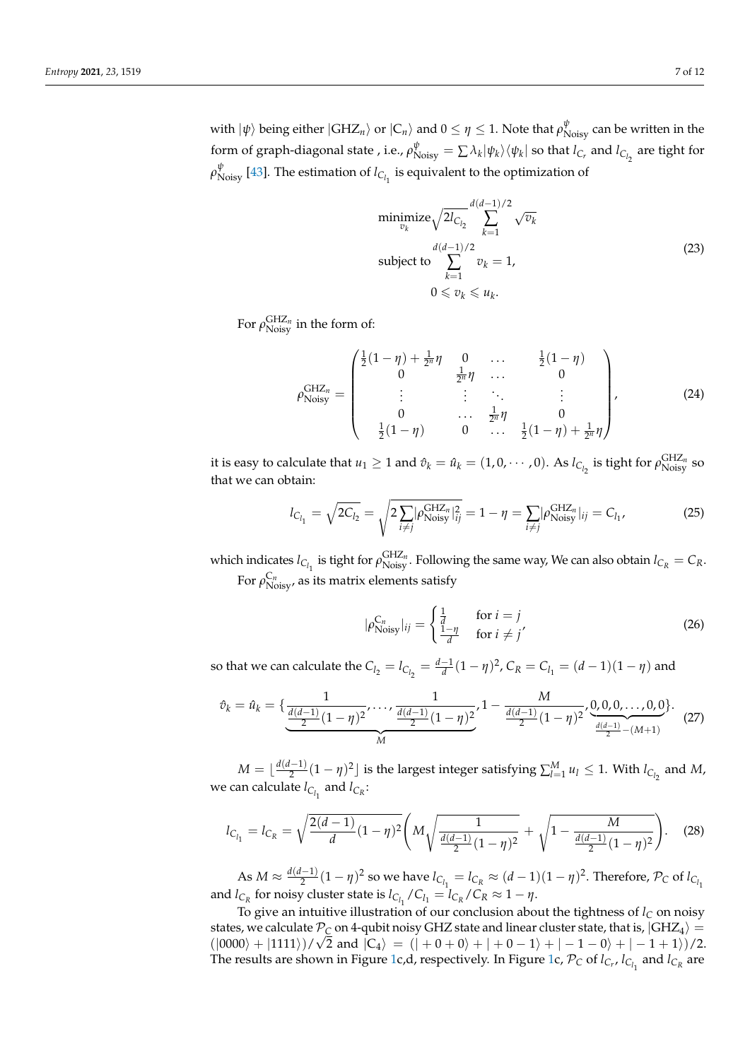with  $|\psi\rangle$  being either  $|GHZ_n\rangle$  or  $|C_n\rangle$  and  $0\leq\eta\leq 1.$  Note that  $\rho_{\text{Noisy}}^{\psi}$  can be written in the form of graph-diagonal state , i.e.,  $\rho_{\text{Noisy}}^{\psi} = \sum \lambda_k |\psi_k\rangle\langle\psi_k|$  so that  $l_{C_r}$  and  $l_{C_{l_2}}$  are tight for  $ρ_{Noisy}^ψ$  [\[43\]](#page-10-9). The estimation of *l<sub>C<sub>l<sub>1</sub></sub>* is equivalent to the optimization of</sub>

$$
\underset{\begin{subarray}{l}\n v_k \\
v_k \n\end{subarray}}{\text{minimize}} \sqrt{2l_{C_{l_2}}} \sum_{k=1}^{d(d-1)/2} \sqrt{v_k}
$$
\n
$$
\text{subject to } \sum_{k=1}^{d(d-1)/2} v_k = 1,
$$
\n
$$
0 \le v_k \le u_k.
$$
\n(23)

For  $\rho_{\textrm{Noisy}}^{\textrm{GHZ}_n}$  in the form of:

$$
\rho_{\text{Noisy}}^{\text{GHZ}_n} = \begin{pmatrix} \frac{1}{2}(1-\eta) + \frac{1}{2^n}\eta & 0 & \dots & \frac{1}{2}(1-\eta) \\ 0 & \frac{1}{2^n}\eta & \dots & 0 \\ \vdots & \vdots & \ddots & \vdots \\ 0 & \dots & \frac{1}{2^n}\eta & 0 \\ \frac{1}{2}(1-\eta) & 0 & \dots & \frac{1}{2}(1-\eta) + \frac{1}{2^n}\eta \end{pmatrix},
$$
(24)

it is easy to calculate that  $u_1 \geq 1$  and  $\hat{v}_k = \hat{u}_k = (1, 0, \dots, 0)$ . As  $l_{C_{l_2}}$  is tight for  $\rho_{\text{Noisy}}^{\text{GHZ}_n}$  so that we can obtain:

$$
l_{C_{l_1}} = \sqrt{2C_{l_2}} = \sqrt{2 \sum_{i \neq j} |\rho_{\text{Noisy}}^{\text{GHZ}_n}|_{ij}^2} = 1 - \eta = \sum_{i \neq j} |\rho_{\text{Noisy}}^{\text{GHZ}_n}|_{ij} = C_{l_1},
$$
(25)

which indicates  $l_{C_{l_1}}$  is tight for  $\rho_{\text{Noisy}}^{\text{GHZ}_n}$ . Following the same way, We can also obtain  $l_{C_R} = C_R$ . For  $\rho_{\textrm{Noisy}}^{ \textrm{C}_n}$ , as its matrix elements satisfy

$$
|\rho_{\text{Noisy}}^{\text{C}_n}|_{ij} = \begin{cases} \frac{1}{d} & \text{for } i = j\\ \frac{1-\eta}{d} & \text{for } i \neq j' \end{cases} \tag{26}
$$

so that we can calculate the  $C_{l_2} = l_{C_{l_2}} = \frac{d-1}{d}(1-\eta)^2$ ,  $C_R = C_{l_1} = (d-1)(1-\eta)$  and

$$
\hat{v}_k = \hat{u}_k = \{\underbrace{\frac{1}{\frac{d(d-1)}{2}(1-\eta)^2}, \dots, \frac{1}{\frac{d(d-1)}{2}(1-\eta)^2}}_{M}, \frac{1 - \frac{M}{\frac{d(d-1)}{2}(1-\eta)^2}, \underbrace{0,0,0,\dots,0,0}_{\frac{d(d-1)}{2}-(M+1)}\}.\tag{27}
$$

 $M = \lfloor \frac{d(d-1)}{2} \rfloor$  $\sum_{l=1}^{l-1} u_l \leq 1$ . With  $l_{C_{l_2}}$  and *M*, we can calculate  $l_{C_{l_1}}$  and  $l_{C_R}$ :

$$
l_{C_{l_1}} = l_{C_R} = \sqrt{\frac{2(d-1)}{d}(1-\eta)^2} \left( M \sqrt{\frac{1}{\frac{d(d-1)}{2}(1-\eta)^2}} + \sqrt{1 - \frac{M}{\frac{d(d-1)}{2}(1-\eta)^2}} \right). \tag{28}
$$

As  $M \approx \frac{d(d-1)}{2}$  $\frac{d-1}{2}(1-\eta)^2$  so we have  $l_{C_{l_1}}=l_{C_R}\approx (d-1)(1-\eta)^2$ . Therefore,  $\mathcal{P}_C$  of  $l_{C_{l_1}}$ and *l*<sub>C<sup>*R*</sup></sub> for noisy cluster state is  $l_{C_{l_1}}/C_{l_1} = l_{C_R}/C_R \approx 1 - \eta$ .

To give an intuitive illustration of our conclusion about the tightness of  $l_C$  on noisy states, we calculate  $P_C$  on 4-qubit noisy GHZ state and linear cluster state, that is,  $|GHZ_4\rangle =$  $(|0000\rangle + |1111\rangle)/\sqrt{2}$  and  $|C_4\rangle = (| + 0 + 0\rangle + | + 0 - 1\rangle + | -1 - 0\rangle + | -1 + 1\rangle)/2$ . The results are shown in Figure [1c](#page-5-0),d, respectively. In Figure 1c,  $\mathcal{P}_C$  of  $l_{C_r}$ ,  $l_{C_{l_1}}$  and  $l_{C_R}$  are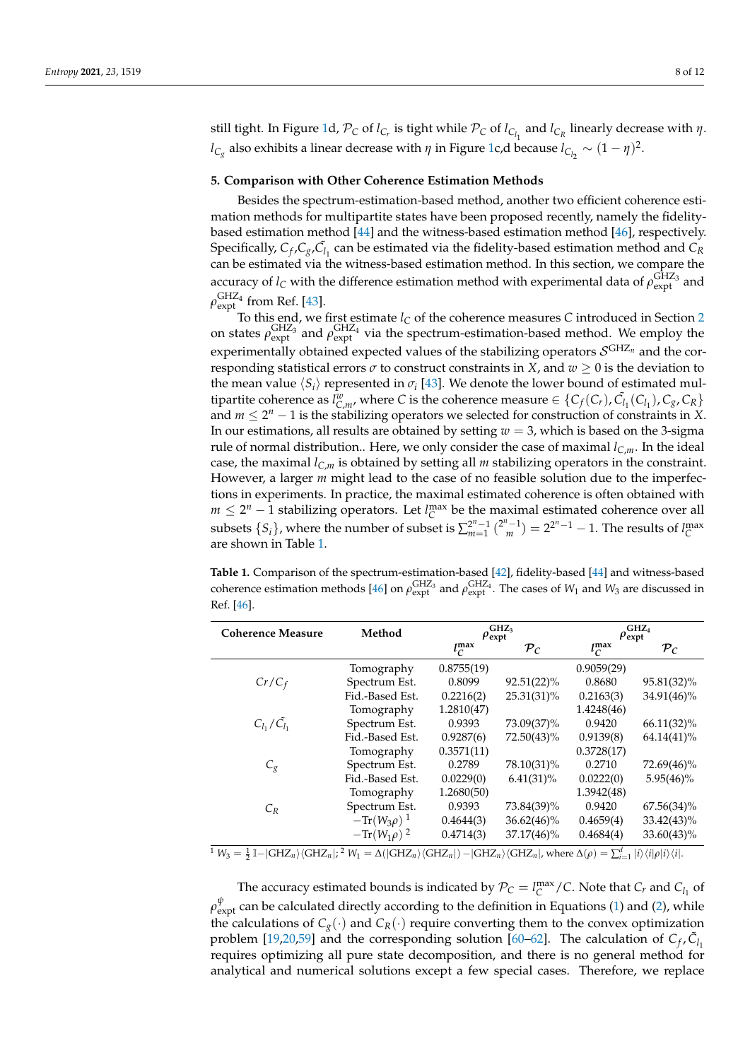still tight. In Figure [1d](#page-5-0),  $\mathcal{P}_C$  of  $l_{C_r}$  is tight while  $\mathcal{P}_C$  of  $l_{C_{l_1}}$  and  $l_{C_R}$  linearly decrease with  $\eta$ . *l*C<sub>*g*</sub></sub> also exhibits a linear decrease with *η* in Figure [1c](#page-5-0),d because  $l_{C_{l_2}} \sim (1 - \eta)^2$ .

## <span id="page-7-0"></span>**5. Comparison with Other Coherence Estimation Methods**

Besides the spectrum-estimation-based method, another two efficient coherence estimation methods for multipartite states have been proposed recently, namely the fidelitybased estimation method [\[44\]](#page-10-10) and the witness-based estimation method [\[46\]](#page-10-5), respectively. Specifically,  $C_f$ ,  $C_g$ ,  $\tilde{C}_l$ <sub>1</sub> can be estimated via the fidelity-based estimation method and  $C_R$ can be estimated via the witness-based estimation method. In this section, we compare the accuracy of  $l_C$  with the difference estimation method with experimental data of  $\rho_{\text{expt}}^{\text{GHZ}_3}$  and  $\rho^{\rm GHZ_4}_{\rm expt}$  from Ref. [\[43\]](#page-10-9).

To this end, we first estimate  $l_C$  of the coherence measures  $C$  introduced in Section [2](#page-1-0) on states  $\rho_{expt}^{GHZ_3}$  and  $\rho_{expt}^{GHZ_4}$  via the spectrum-estimation-based method. We employ the experimentally obtained expected values of the stabilizing operators S GHZ*<sup>n</sup>* and the corresponding statistical errors  $\sigma$  to construct constraints in *X*, and  $w \ge 0$  is the deviation to the mean value  $\langle S_i \rangle$  represented in  $\sigma_i$  [\[43\]](#page-10-9). We denote the lower bound of estimated multipartite coherence as  $l_{C,m}^w$ , where *C* is the coherence measure  $\in \{C_f(C_r), \tilde{C}_{l_1}(C_{l_1}), C_g, C_R\}$ and  $m \leq 2^n - 1$  is the stabilizing operators we selected for construction of constraints in *X*. In our estimations, all results are obtained by setting *w* = 3, which is based on the 3-sigma rule of normal distribution.. Here, we only consider the case of maximal  $l_{C,m}$ . In the ideal case, the maximal  $l_{C,m}$  is obtained by setting all *m* stabilizing operators in the constraint. However, a larger *m* might lead to the case of no feasible solution due to the imperfections in experiments. In practice, the maximal estimated coherence is often obtained with *m* ≤  $2^n$  − 1 stabilizing operators. Let *l*<sup>max</sup> be the maximal estimated coherence over all subsets  $\{S_i\}$ , where the number of subset is  $\sum_{m=1}^{2^n-1} {2^n-1 \choose m} = 2^{2^n-1}-1$ . The results of  $l_C^{max}$ are shown in Table [1.](#page-7-1)

<span id="page-7-1"></span>**Table 1.** Comparison of the spectrum-estimation-based [\[42\]](#page-10-8), fidelity-based [\[44\]](#page-10-10) and witness-based coherence estimation methods [\[46\]](#page-10-5) on  $\rho_{expt}^{GHZ_3}$  and  $\rho_{expt}^{GHZ_4}$ . The cases of *W*<sub>1</sub> and *W*<sub>3</sub> are discussed in Ref. [\[46\]](#page-10-5).

| <b>Coherence Measure</b>                      | Method                         | GHZ <sub>3</sub><br>$\rho_{\rm expt}$ |                 | GHZ <sub>4</sub><br>$\rho_{\rm expt}$     |                                                                        |
|-----------------------------------------------|--------------------------------|---------------------------------------|-----------------|-------------------------------------------|------------------------------------------------------------------------|
|                                               |                                | $l_C^{\max}$                          | $\mathcal{P}_C$ | $l_C^{\max}$                              | $\mathcal{P}_C$                                                        |
|                                               | Tomography                     | 0.8755(19)                            |                 | 0.9059(29)                                |                                                                        |
| $Cr/C_f$                                      | Spectrum Est.                  | 0.8099                                | $92.51(22)\%$   | 0.8680                                    | 95.81(32)%                                                             |
|                                               | Fid.-Based Est.                | 0.2216(2)                             | 25.31(31)%      | 0.2163(3)                                 | 34.91(46)%                                                             |
|                                               | Tomography                     | 1.2810(47)                            |                 | 1.4248(46)                                |                                                                        |
| $C_{l_1}/C_{l_1}$                             | Spectrum Est.                  | 0.9393                                | 73.09(37)%      | 0.9420                                    | $66.11(32)\%$                                                          |
|                                               | Fid.-Based Est.                | 0.9287(6)                             | 72.50(43)%      | 0.9139(8)                                 | $64.14(41)\%$                                                          |
|                                               | Tomography                     | 0.3571(11)                            |                 | 0.3728(17)                                |                                                                        |
| $C_{\mathcal{Q}}$                             | Spectrum Est.                  | 0.2789                                | 78.10(31)%      | 0.2710                                    | 72.69(46)%                                                             |
|                                               | Fid.-Based Est.                | 0.0229(0)                             | $6.41(31)\%$    | 0.0222(0)                                 | $5.95(46)\%$                                                           |
|                                               | Tomography                     | 1.2680(50)                            |                 | 1.3942(48)                                |                                                                        |
| $C_R$                                         | Spectrum Est.                  | 0.9393                                | 73.84(39)%      | 0.9420                                    | $67.56(34)\%$                                                          |
|                                               | $-\text{Tr}(W_3\rho)^1$        | 0.4644(3)                             | $36.62(46)\%$   | 0.4659(4)                                 | $33.42(43)\%$                                                          |
| $1 - 1 - 1$<br>1 - 1 - - - 1 <i>1 -</i> - - 1 | $-\text{Tr}(W_1\rho)^2$<br>2.1 | 0.4714(3)                             | 37.17(46)%      | 0.4684(4)<br>$-1$<br>$\sim$ $\sim$ $\sim$ | $33.60(43)\%$<br>$\left(1,1,1,2,1\right)$ , $\left(1,1,2,1,2,1\right)$ |

 $W_3 = \frac{1}{2} \mathbb{I} - |\text{GHZ}_n\rangle\langle \text{GHZ}_n|;^2 W_1 = \Delta(|\text{GHZ}_n\rangle\langle \text{GHZ}_n|) - |\text{GHZ}_n\rangle\langle \text{GHZ}_n|$ , where  $\Delta(\rho) = \sum_{i=1}^d |i\rangle\langle i|\rho|i\rangle\langle i|.$ 

The accuracy estimated bounds is indicated by  $\mathcal{P}_C = l_C^{\max}/C$ . Note that  $C_r$  and  $C_{l_1}$  of  $\rho^\psi_{\rm expt}$  can be calculated directly according to the definition in Equations [\(1\)](#page-1-1) and [\(2\)](#page-1-2), while the calculations of  $C_g(\cdot)$  and  $C_R(\cdot)$  require converting them to the convex optimization problem [\[19,](#page-9-12)[20,](#page-9-13)[59\]](#page-10-22) and the corresponding solution [\[60](#page-10-23)[–62\]](#page-10-24). The calculation of  $C_f$ ,  $\tilde{C}_{l_1}$ requires optimizing all pure state decomposition, and there is no general method for analytical and numerical solutions except a few special cases. Therefore, we replace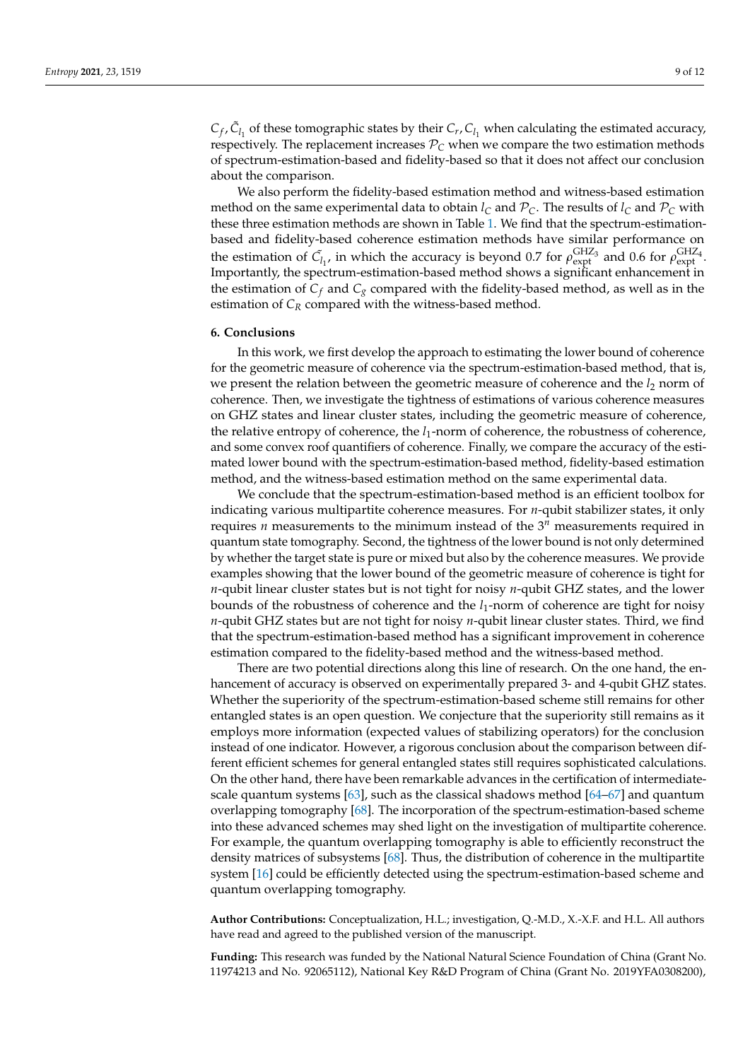$C_f$ ,  $\tilde{C}_{l_1}$  of these tomographic states by their  $C_r$ ,  $C_{l_1}$  when calculating the estimated accuracy, respectively. The replacement increases  $P_C$  when we compare the two estimation methods of spectrum-estimation-based and fidelity-based so that it does not affect our conclusion about the comparison.

We also perform the fidelity-based estimation method and witness-based estimation method on the same experimental data to obtain  $l_c$  and  $P_c$ . The results of  $l_c$  and  $P_c$  with these three estimation methods are shown in Table [1.](#page-7-1) We find that the spectrum-estimationbased and fidelity-based coherence estimation methods have similar performance on the estimation of  $\tilde{C}_{l_1}$ , in which the accuracy is beyond 0.7 for  $\rho_{expt}^{GHZ_3}$  and 0.6 for  $\rho_{expt}^{GHZ_4}$ . Importantly, the spectrum-estimation-based method shows a significant enhancement in the estimation of  $C_f$  and  $C_g$  compared with the fidelity-based method, as well as in the estimation of  $C_R$  compared with the witness-based method.

## <span id="page-8-0"></span>**6. Conclusions**

In this work, we first develop the approach to estimating the lower bound of coherence for the geometric measure of coherence via the spectrum-estimation-based method, that is, we present the relation between the geometric measure of coherence and the *l*<sub>2</sub> norm of coherence. Then, we investigate the tightness of estimations of various coherence measures on GHZ states and linear cluster states, including the geometric measure of coherence, the relative entropy of coherence, the *l*1-norm of coherence, the robustness of coherence, and some convex roof quantifiers of coherence. Finally, we compare the accuracy of the estimated lower bound with the spectrum-estimation-based method, fidelity-based estimation method, and the witness-based estimation method on the same experimental data.

We conclude that the spectrum-estimation-based method is an efficient toolbox for indicating various multipartite coherence measures. For *n*-qubit stabilizer states, it only requires *n* measurements to the minimum instead of the 3 *<sup>n</sup>* measurements required in quantum state tomography. Second, the tightness of the lower bound is not only determined by whether the target state is pure or mixed but also by the coherence measures. We provide examples showing that the lower bound of the geometric measure of coherence is tight for *n*-qubit linear cluster states but is not tight for noisy *n*-qubit GHZ states, and the lower bounds of the robustness of coherence and the *l*1-norm of coherence are tight for noisy *n*-qubit GHZ states but are not tight for noisy *n*-qubit linear cluster states. Third, we find that the spectrum-estimation-based method has a significant improvement in coherence estimation compared to the fidelity-based method and the witness-based method.

There are two potential directions along this line of research. On the one hand, the enhancement of accuracy is observed on experimentally prepared 3- and 4-qubit GHZ states. Whether the superiority of the spectrum-estimation-based scheme still remains for other entangled states is an open question. We conjecture that the superiority still remains as it employs more information (expected values of stabilizing operators) for the conclusion instead of one indicator. However, a rigorous conclusion about the comparison between different efficient schemes for general entangled states still requires sophisticated calculations. On the other hand, there have been remarkable advances in the certification of intermediatescale quantum systems [\[63\]](#page-10-25), such as the classical shadows method [\[64–](#page-10-26)[67\]](#page-11-0) and quantum overlapping tomography [\[68\]](#page-11-1). The incorporation of the spectrum-estimation-based scheme into these advanced schemes may shed light on the investigation of multipartite coherence. For example, the quantum overlapping tomography is able to efficiently reconstruct the density matrices of subsystems [\[68\]](#page-11-1). Thus, the distribution of coherence in the multipartite system [\[16\]](#page-9-21) could be efficiently detected using the spectrum-estimation-based scheme and quantum overlapping tomography.

**Author Contributions:** Conceptualization, H.L.; investigation, Q.-M.D., X.-X.F. and H.L. All authors have read and agreed to the published version of the manuscript.

**Funding:** This research was funded by the National Natural Science Foundation of China (Grant No. 11974213 and No. 92065112), National Key R&D Program of China (Grant No. 2019YFA0308200),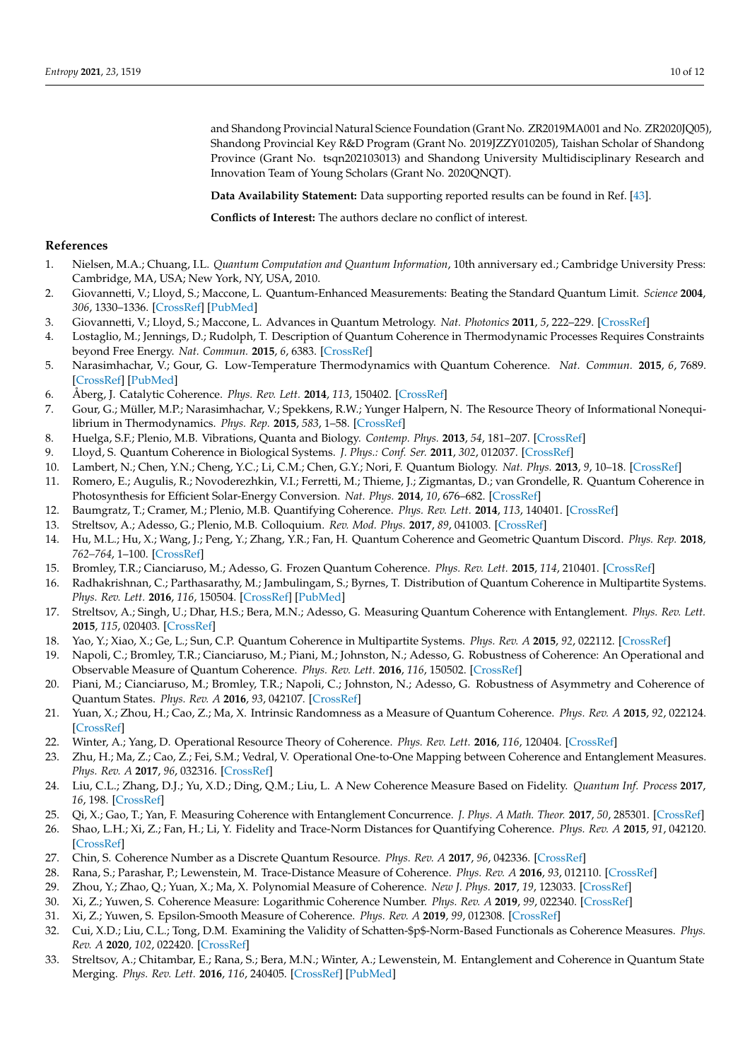and Shandong Provincial Natural Science Foundation (Grant No. ZR2019MA001 and No. ZR2020JQ05), Shandong Provincial Key R&D Program (Grant No. 2019JZZY010205), Taishan Scholar of Shandong Province (Grant No. tsqn202103013) and Shandong University Multidisciplinary Research and Innovation Team of Young Scholars (Grant No. 2020QNQT).

**Data Availability Statement:** Data supporting reported results can be found in Ref. [\[43\]](#page-10-9).

**Conflicts of Interest:** The authors declare no conflict of interest.

#### **References**

- <span id="page-9-0"></span>1. Nielsen, M.A.; Chuang, I.L. *Quantum Computation and Quantum Information*, 10th anniversary ed.; Cambridge University Press: Cambridge, MA, USA; New York, NY, USA, 2010.
- <span id="page-9-1"></span>2. Giovannetti, V.; Lloyd, S.; Maccone, L. Quantum-Enhanced Measurements: Beating the Standard Quantum Limit. *Science* **2004**, *306*, 1330–1336. [\[CrossRef\]](http://doi.org/10.1126/science.1104149) [\[PubMed\]](http://www.ncbi.nlm.nih.gov/pubmed/15550661)
- <span id="page-9-2"></span>3. Giovannetti, V.; Lloyd, S.; Maccone, L. Advances in Quantum Metrology. *Nat. Photonics* **2011**, *5*, 222–229. [\[CrossRef\]](http://dx.doi.org/10.1038/nphoton.2011.35)
- <span id="page-9-3"></span>4. Lostaglio, M.; Jennings, D.; Rudolph, T. Description of Quantum Coherence in Thermodynamic Processes Requires Constraints beyond Free Energy. *Nat. Commun.* **2015**, *6*, 6383. [\[CrossRef\]](http://dx.doi.org/10.1038/ncomms7383)
- 5. Narasimhachar, V.; Gour, G. Low-Temperature Thermodynamics with Quantum Coherence. *Nat. Commun.* **2015**, *6*, 7689. [\[CrossRef\]](http://dx.doi.org/10.1038/ncomms8689) [\[PubMed\]](http://www.ncbi.nlm.nih.gov/pubmed/26138621)
- 6. Åberg, J. Catalytic Coherence. *Phys. Rev. Lett.* **2014**, *113*, 150402. [\[CrossRef\]](http://dx.doi.org/10.1103/PhysRevLett.113.150402)
- <span id="page-9-4"></span>7. Gour, G.; Müller, M.P.; Narasimhachar, V.; Spekkens, R.W.; Yunger Halpern, N. The Resource Theory of Informational Nonequilibrium in Thermodynamics. *Phys. Rep.* **2015**, *583*, 1–58. [\[CrossRef\]](http://dx.doi.org/10.1016/j.physrep.2015.04.003)
- <span id="page-9-5"></span>8. Huelga, S.F.; Plenio, M.B. Vibrations, Quanta and Biology. *Contemp. Phys.* **2013**, *54*, 181–207. [\[CrossRef\]](http://dx.doi.org/10.1080/00405000.2013.829687)
- 9. Lloyd, S. Quantum Coherence in Biological Systems. *J. Phys.: Conf. Ser.* **2011**, *302*, 012037. [\[CrossRef\]](http://dx.doi.org/10.1088/1742-6596/302/1/012037)
- 10. Lambert, N.; Chen, Y.N.; Cheng, Y.C.; Li, C.M.; Chen, G.Y.; Nori, F. Quantum Biology. *Nat. Phys.* **2013**, *9*, 10–18. [\[CrossRef\]](http://dx.doi.org/10.1038/nphys2474)
- <span id="page-9-6"></span>11. Romero, E.; Augulis, R.; Novoderezhkin, V.I.; Ferretti, M.; Thieme, J.; Zigmantas, D.; van Grondelle, R. Quantum Coherence in Photosynthesis for Efficient Solar-Energy Conversion. *Nat. Phys.* **2014**, *10*, 676–682. [\[CrossRef\]](http://dx.doi.org/10.1038/nphys3017)
- <span id="page-9-7"></span>12. Baumgratz, T.; Cramer, M.; Plenio, M.B. Quantifying Coherence. *Phys. Rev. Lett.* **2014**, *113*, 140401. [\[CrossRef\]](http://dx.doi.org/10.1103/PhysRevLett.113.140401)
- 13. Streltsov, A.; Adesso, G.; Plenio, M.B. Colloquium. *Rev. Mod. Phys.* **2017**, *89*, 041003. [\[CrossRef\]](http://dx.doi.org/10.1103/RevModPhys.89.041003)
- <span id="page-9-8"></span>14. Hu, M.L.; Hu, X.; Wang, J.; Peng, Y.; Zhang, Y.R.; Fan, H. Quantum Coherence and Geometric Quantum Discord. *Phys. Rep.* **2018**, *762–764*, 1–100. [\[CrossRef\]](http://dx.doi.org/10.1016/j.physrep.2018.07.004)
- <span id="page-9-9"></span>15. Bromley, T.R.; Cianciaruso, M.; Adesso, G. Frozen Quantum Coherence. *Phys. Rev. Lett.* **2015**, *114*, 210401. [\[CrossRef\]](http://dx.doi.org/10.1103/PhysRevLett.114.210401)
- <span id="page-9-21"></span>16. Radhakrishnan, C.; Parthasarathy, M.; Jambulingam, S.; Byrnes, T. Distribution of Quantum Coherence in Multipartite Systems. *Phys. Rev. Lett.* **2016**, *116*, 150504. [\[CrossRef\]](http://dx.doi.org/10.1103/PhysRevLett.116.150504) [\[PubMed\]](http://www.ncbi.nlm.nih.gov/pubmed/27127948)
- <span id="page-9-11"></span>17. Streltsov, A.; Singh, U.; Dhar, H.S.; Bera, M.N.; Adesso, G. Measuring Quantum Coherence with Entanglement. *Phys. Rev. Lett.* **2015**, *115*, 020403. [\[CrossRef\]](http://dx.doi.org/10.1103/PhysRevLett.115.020403)
- <span id="page-9-10"></span>18. Yao, Y.; Xiao, X.; Ge, L.; Sun, C.P. Quantum Coherence in Multipartite Systems. *Phys. Rev. A* **2015**, *92*, 022112. [\[CrossRef\]](http://dx.doi.org/10.1103/PhysRevA.92.022112)
- <span id="page-9-12"></span>19. Napoli, C.; Bromley, T.R.; Cianciaruso, M.; Piani, M.; Johnston, N.; Adesso, G. Robustness of Coherence: An Operational and Observable Measure of Quantum Coherence. *Phys. Rev. Lett.* **2016**, *116*, 150502. [\[CrossRef\]](http://dx.doi.org/10.1103/PhysRevLett.116.150502)
- <span id="page-9-13"></span>20. Piani, M.; Cianciaruso, M.; Bromley, T.R.; Napoli, C.; Johnston, N.; Adesso, G. Robustness of Asymmetry and Coherence of Quantum States. *Phys. Rev. A* **2016**, *93*, 042107. [\[CrossRef\]](http://dx.doi.org/10.1103/PhysRevA.93.042107)
- <span id="page-9-14"></span>21. Yuan, X.; Zhou, H.; Cao, Z.; Ma, X. Intrinsic Randomness as a Measure of Quantum Coherence. *Phys. Rev. A* **2015**, *92*, 022124. [\[CrossRef\]](http://dx.doi.org/10.1103/PhysRevA.92.022124)
- <span id="page-9-19"></span>22. Winter, A.; Yang, D. Operational Resource Theory of Coherence. *Phys. Rev. Lett.* **2016**, *116*, 120404. [\[CrossRef\]](http://dx.doi.org/10.1103/PhysRevLett.116.120404)
- <span id="page-9-20"></span>23. Zhu, H.; Ma, Z.; Cao, Z.; Fei, S.M.; Vedral, V. Operational One-to-One Mapping between Coherence and Entanglement Measures. *Phys. Rev. A* **2017**, *96*, 032316. [\[CrossRef\]](http://dx.doi.org/10.1103/PhysRevA.96.032316)
- 24. Liu, C.L.; Zhang, D.J.; Yu, X.D.; Ding, Q.M.; Liu, L. A New Coherence Measure Based on Fidelity. *Quantum Inf. Process* **2017**, *16*, 198. [\[CrossRef\]](http://dx.doi.org/10.1007/s11128-017-1650-7)
- <span id="page-9-15"></span>25. Qi, X.; Gao, T.; Yan, F. Measuring Coherence with Entanglement Concurrence. *J. Phys. A Math. Theor.* **2017**, *50*, 285301. [\[CrossRef\]](http://dx.doi.org/10.1088/1751-8121/aa7638)
- <span id="page-9-16"></span>26. Shao, L.H.; Xi, Z.; Fan, H.; Li, Y. Fidelity and Trace-Norm Distances for Quantifying Coherence. *Phys. Rev. A* **2015**, *91*, 042120. [\[CrossRef\]](http://dx.doi.org/10.1103/PhysRevA.91.042120)
- 27. Chin, S. Coherence Number as a Discrete Quantum Resource. *Phys. Rev. A* **2017**, *96*, 042336. [\[CrossRef\]](http://dx.doi.org/10.1103/PhysRevA.96.042336)
- 28. Rana, S.; Parashar, P.; Lewenstein, M. Trace-Distance Measure of Coherence. *Phys. Rev. A* **2016**, *93*, 012110. [\[CrossRef\]](http://dx.doi.org/10.1103/PhysRevA.93.012110)
- 29. Zhou, Y.; Zhao, Q.; Yuan, X.; Ma, X. Polynomial Measure of Coherence. *New J. Phys.* **2017**, *19*, 123033. [\[CrossRef\]](http://dx.doi.org/10.1088/1367-2630/aa91fa)
- 30. Xi, Z.; Yuwen, S. Coherence Measure: Logarithmic Coherence Number. *Phys. Rev. A* **2019**, *99*, 022340. [\[CrossRef\]](http://dx.doi.org/10.1103/PhysRevA.99.022340)
- 31. Xi, Z.; Yuwen, S. Epsilon-Smooth Measure of Coherence. *Phys. Rev. A* **2019**, *99*, 012308. [\[CrossRef\]](http://dx.doi.org/10.1103/PhysRevA.99.012308)
- <span id="page-9-17"></span>32. Cui, X.D.; Liu, C.L.; Tong, D.M. Examining the Validity of Schatten-\$p\$-Norm-Based Functionals as Coherence Measures. *Phys. Rev. A* **2020**, *102*, 022420. [\[CrossRef\]](http://dx.doi.org/10.1103/PhysRevA.102.022420)
- <span id="page-9-18"></span>33. Streltsov, A.; Chitambar, E.; Rana, S.; Bera, M.N.; Winter, A.; Lewenstein, M. Entanglement and Coherence in Quantum State Merging. *Phys. Rev. Lett.* **2016**, *116*, 240405. [\[CrossRef\]](http://dx.doi.org/10.1103/PhysRevLett.116.240405) [\[PubMed\]](http://www.ncbi.nlm.nih.gov/pubmed/27367369)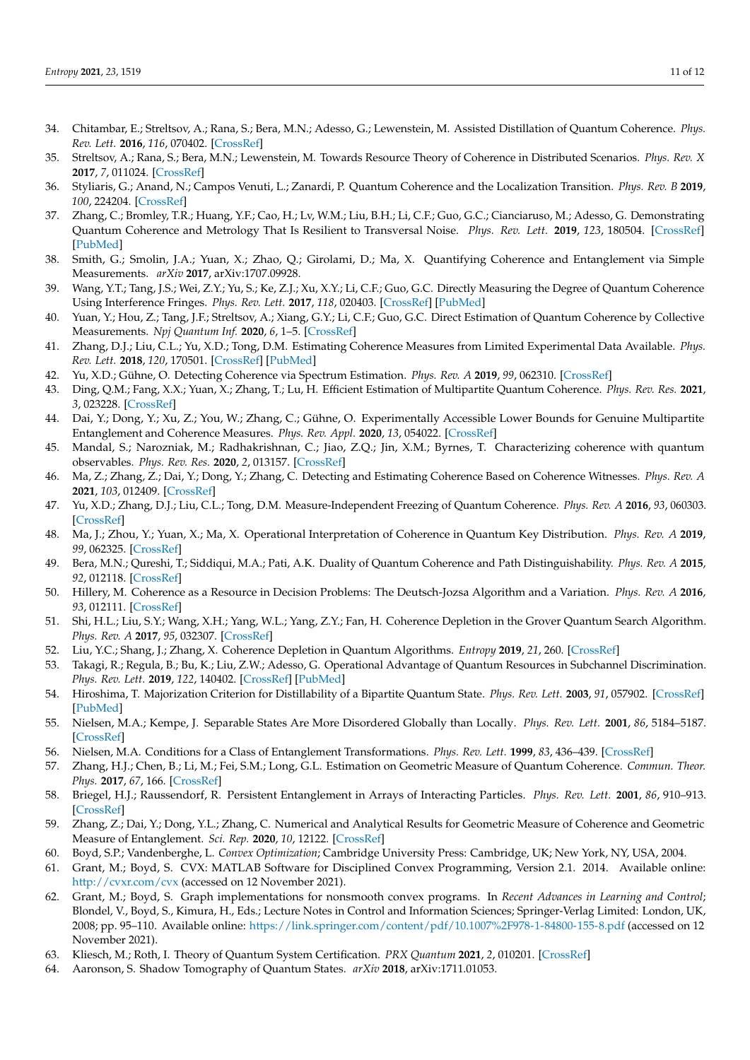- <span id="page-10-0"></span>34. Chitambar, E.; Streltsov, A.; Rana, S.; Bera, M.N.; Adesso, G.; Lewenstein, M. Assisted Distillation of Quantum Coherence. *Phys. Rev. Lett.* **2016**, *116*, 070402. [\[CrossRef\]](http://dx.doi.org/10.1103/PhysRevLett.116.070402)
- <span id="page-10-1"></span>35. Streltsov, A.; Rana, S.; Bera, M.N.; Lewenstein, M. Towards Resource Theory of Coherence in Distributed Scenarios. *Phys. Rev. X* **2017**, *7*, 011024. [\[CrossRef\]](http://dx.doi.org/10.1103/PhysRevX.7.011024)
- <span id="page-10-2"></span>36. Styliaris, G.; Anand, N.; Campos Venuti, L.; Zanardi, P. Quantum Coherence and the Localization Transition. *Phys. Rev. B* **2019**, *100*, 224204. [\[CrossRef\]](http://dx.doi.org/10.1103/PhysRevB.100.224204)
- <span id="page-10-3"></span>37. Zhang, C.; Bromley, T.R.; Huang, Y.F.; Cao, H.; Lv, W.M.; Liu, B.H.; Li, C.F.; Guo, G.C.; Cianciaruso, M.; Adesso, G. Demonstrating Quantum Coherence and Metrology That Is Resilient to Transversal Noise. *Phys. Rev. Lett.* **2019**, *123*, 180504. [\[CrossRef\]](http://dx.doi.org/10.1103/PhysRevLett.123.180504) [\[PubMed\]](http://www.ncbi.nlm.nih.gov/pubmed/31763920)
- <span id="page-10-4"></span>38. Smith, G.; Smolin, J.A.; Yuan, X.; Zhao, Q.; Girolami, D.; Ma, X. Quantifying Coherence and Entanglement via Simple Measurements. *arXiv* **2017**, arXiv:1707.09928.
- 39. Wang, Y.T.; Tang, J.S.; Wei, Z.Y.; Yu, S.; Ke, Z.J.; Xu, X.Y.; Li, C.F.; Guo, G.C. Directly Measuring the Degree of Quantum Coherence Using Interference Fringes. *Phys. Rev. Lett.* **2017**, *118*, 020403. [\[CrossRef\]](http://dx.doi.org/10.1103/PhysRevLett.118.020403) [\[PubMed\]](http://www.ncbi.nlm.nih.gov/pubmed/28128592)
- <span id="page-10-6"></span>40. Yuan, Y.; Hou, Z.; Tang, J.F.; Streltsov, A.; Xiang, G.Y.; Li, C.F.; Guo, G.C. Direct Estimation of Quantum Coherence by Collective Measurements. *Npj Quantum Inf.* **2020**, *6*, 1–5. [\[CrossRef\]](http://dx.doi.org/10.1038/s41534-020-0280-6)
- <span id="page-10-7"></span>41. Zhang, D.J.; Liu, C.L.; Yu, X.D.; Tong, D.M. Estimating Coherence Measures from Limited Experimental Data Available. *Phys. Rev. Lett.* **2018**, *120*, 170501. [\[CrossRef\]](http://dx.doi.org/10.1103/PhysRevLett.120.170501) [\[PubMed\]](http://www.ncbi.nlm.nih.gov/pubmed/29756821)
- <span id="page-10-8"></span>42. Yu, X.D.; Gühne, O. Detecting Coherence via Spectrum Estimation. *Phys. Rev. A* **2019**, *99*, 062310. [\[CrossRef\]](http://dx.doi.org/10.1103/PhysRevA.99.062310)
- <span id="page-10-9"></span>43. Ding, Q.M.; Fang, X.X.; Yuan, X.; Zhang, T.; Lu, H. Efficient Estimation of Multipartite Quantum Coherence. *Phys. Rev. Res.* **2021**, *3*, 023228. [\[CrossRef\]](http://dx.doi.org/10.1103/PhysRevResearch.3.023228)
- <span id="page-10-10"></span>44. Dai, Y.; Dong, Y.; Xu, Z.; You, W.; Zhang, C.; Gühne, O. Experimentally Accessible Lower Bounds for Genuine Multipartite Entanglement and Coherence Measures. *Phys. Rev. Appl.* **2020**, *13*, 054022. [\[CrossRef\]](http://dx.doi.org/10.1103/PhysRevApplied.13.054022)
- 45. Mandal, S.; Narozniak, M.; Radhakrishnan, C.; Jiao, Z.Q.; Jin, X.M.; Byrnes, T. Characterizing coherence with quantum observables. *Phys. Rev. Res.* **2020**, *2*, 013157. [\[CrossRef\]](http://dx.doi.org/10.1103/PhysRevResearch.2.013157)
- <span id="page-10-5"></span>46. Ma, Z.; Zhang, Z.; Dai, Y.; Dong, Y.; Zhang, C. Detecting and Estimating Coherence Based on Coherence Witnesses. *Phys. Rev. A* **2021**, *103*, 012409. [\[CrossRef\]](http://dx.doi.org/10.1103/PhysRevA.103.012409)
- <span id="page-10-11"></span>47. Yu, X.D.; Zhang, D.J.; Liu, C.L.; Tong, D.M. Measure-Independent Freezing of Quantum Coherence. *Phys. Rev. A* **2016**, *93*, 060303. [\[CrossRef\]](http://dx.doi.org/10.1103/PhysRevA.93.060303)
- <span id="page-10-12"></span>48. Ma, J.; Zhou, Y.; Yuan, X.; Ma, X. Operational Interpretation of Coherence in Quantum Key Distribution. *Phys. Rev. A* **2019**, *99*, 062325. [\[CrossRef\]](http://dx.doi.org/10.1103/PhysRevA.99.062325)
- <span id="page-10-13"></span>49. Bera, M.N.; Qureshi, T.; Siddiqui, M.A.; Pati, A.K. Duality of Quantum Coherence and Path Distinguishability. *Phys. Rev. A* **2015**, *92*, 012118. [\[CrossRef\]](http://dx.doi.org/10.1103/PhysRevA.92.012118)
- <span id="page-10-14"></span>50. Hillery, M. Coherence as a Resource in Decision Problems: The Deutsch-Jozsa Algorithm and a Variation. *Phys. Rev. A* **2016**, *93*, 012111. [\[CrossRef\]](http://dx.doi.org/10.1103/PhysRevA.93.012111)
- 51. Shi, H.L.; Liu, S.Y.; Wang, X.H.; Yang, W.L.; Yang, Z.Y.; Fan, H. Coherence Depletion in the Grover Quantum Search Algorithm. *Phys. Rev. A* **2017**, *95*, 032307. [\[CrossRef\]](http://dx.doi.org/10.1103/PhysRevA.95.032307)
- <span id="page-10-15"></span>52. Liu, Y.C.; Shang, J.; Zhang, X. Coherence Depletion in Quantum Algorithms. *Entropy* **2019**, *21*, 260. [\[CrossRef\]](http://dx.doi.org/10.3390/e21030260)
- <span id="page-10-16"></span>53. Takagi, R.; Regula, B.; Bu, K.; Liu, Z.W.; Adesso, G. Operational Advantage of Quantum Resources in Subchannel Discrimination. *Phys. Rev. Lett.* **2019**, *122*, 140402. [\[CrossRef\]](http://dx.doi.org/10.1103/PhysRevLett.122.140402) [\[PubMed\]](http://www.ncbi.nlm.nih.gov/pubmed/31050492)
- <span id="page-10-17"></span>54. Hiroshima, T. Majorization Criterion for Distillability of a Bipartite Quantum State. *Phys. Rev. Lett.* **2003**, *91*, 057902. [\[CrossRef\]](http://dx.doi.org/10.1103/PhysRevLett.91.057902) [\[PubMed\]](http://www.ncbi.nlm.nih.gov/pubmed/12906635)
- <span id="page-10-18"></span>55. Nielsen, M.A.; Kempe, J. Separable States Are More Disordered Globally than Locally. *Phys. Rev. Lett.* **2001**, *86*, 5184–5187. [\[CrossRef\]](http://dx.doi.org/10.1103/PhysRevLett.86.5184)
- <span id="page-10-19"></span>56. Nielsen, M.A. Conditions for a Class of Entanglement Transformations. *Phys. Rev. Lett.* **1999**, *83*, 436–439. [\[CrossRef\]](http://dx.doi.org/10.1103/PhysRevLett.83.436)
- <span id="page-10-20"></span>57. Zhang, H.J.; Chen, B.; Li, M.; Fei, S.M.; Long, G.L. Estimation on Geometric Measure of Quantum Coherence. *Commun. Theor. Phys.* **2017**, *67*, 166. [\[CrossRef\]](http://dx.doi.org/10.1088/0253-6102/67/2/166)
- <span id="page-10-21"></span>58. Briegel, H.J.; Raussendorf, R. Persistent Entanglement in Arrays of Interacting Particles. *Phys. Rev. Lett.* **2001**, *86*, 910–913. [\[CrossRef\]](http://dx.doi.org/10.1103/PhysRevLett.86.910)
- <span id="page-10-22"></span>59. Zhang, Z.; Dai, Y.; Dong, Y.L.; Zhang, C. Numerical and Analytical Results for Geometric Measure of Coherence and Geometric Measure of Entanglement. *Sci. Rep.* **2020**, *10*, 12122. [\[CrossRef\]](http://dx.doi.org/10.1038/s41598-020-68979-z)
- <span id="page-10-23"></span>60. Boyd, S.P.; Vandenberghe, L. *Convex Optimization*; Cambridge University Press: Cambridge, UK; New York, NY, USA, 2004.
- 61. Grant, M.; Boyd, S. CVX: MATLAB Software for Disciplined Convex Programming, Version 2.1. 2014. Available online: <http://cvxr.com/cvx> (accessed on 12 November 2021).
- <span id="page-10-24"></span>62. Grant, M.; Boyd, S. Graph implementations for nonsmooth convex programs. In *Recent Advances in Learning and Control*; Blondel, V., Boyd, S., Kimura, H., Eds.; Lecture Notes in Control and Information Sciences; Springer-Verlag Limited: London, UK, 2008; pp. 95–110. Available online: <https://link.springer.com/content/pdf/10.1007%2F978-1-84800-155-8.pdf> (accessed on 12 November 2021).
- <span id="page-10-25"></span>63. Kliesch, M.; Roth, I. Theory of Quantum System Certification. *PRX Quantum* **2021**, *2*, 010201. [\[CrossRef\]](http://dx.doi.org/10.1103/PRXQuantum.2.010201)
- <span id="page-10-26"></span>64. Aaronson, S. Shadow Tomography of Quantum States. *arXiv* **2018**, arXiv:1711.01053.